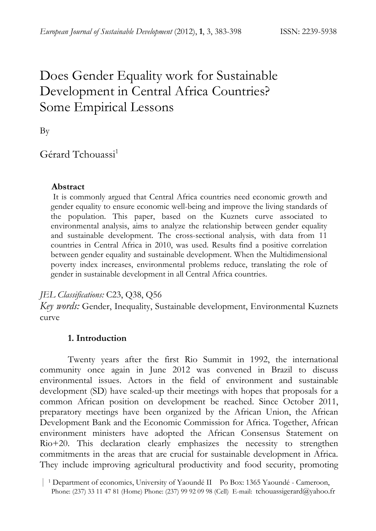# Does Gender Equality work for Sustainable Development in Central Africa Countries? Some Empirical Lessons

By

# Gérard Tchouassi<sup>1</sup>

## **Abstract**

 It is commonly argued that Central Africa countries need economic growth and gender equality to ensure economic well-being and improve the living standards of the population. This paper, based on the Kuznets curve associated to environmental analysis, aims to analyze the relationship between gender equality and sustainable development. The cross-sectional analysis, with data from 11 countries in Central Africa in 2010, was used. Results find a positive correlation between gender equality and sustainable development. When the Multidimensional poverty index increases, environmental problems reduce, translating the role of gender in sustainable development in all Central Africa countries.

*JEL Classifications:* C23, Q38, Q56

*Key words:* Gender, Inequality, Sustainable development, Environmental Kuznets curve

# **1. Introduction**

Twenty years after the first Rio Summit in 1992, the international community once again in June 2012 was convened in Brazil to discuss environmental issues. Actors in the field of environment and sustainable development (SD) have scaled-up their meetings with hopes that proposals for a common African position on development be reached. Since October 2011, preparatory meetings have been organized by the African Union, the African Development Bank and the Economic Commission for Africa. Together, African environment ministers have adopted the African Consensus Statement on Rio+20. This declaration clearly emphasizes the necessity to strengthen commitments in the areas that are crucial for sustainable development in Africa. They include improving agricultural productivity and food security, promoting

 <sup>|</sup> 1 Department of economics, University of Yaoundé II Po Box: 1365 Yaoundé - Cameroon, 2 Phone: (237) 33 11 47 81 (Home) Phone: (237) 99 92 09 98 (Cell) E-mail: tchouassigerard@yahoo.fr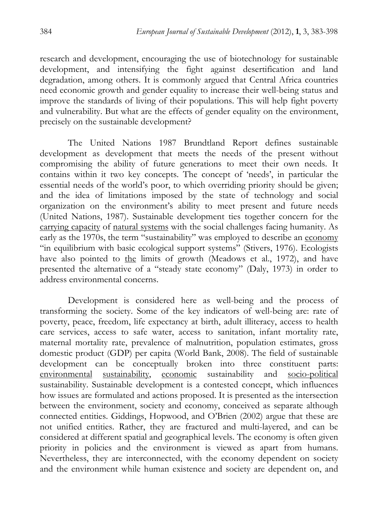research and development, encouraging the use of biotechnology for sustainable development, and intensifying the fight against desertification and land degradation, among others. It is commonly argued that Central Africa countries need economic growth and gender equality to increase their well-being status and improve the standards of living of their populations. This will help fight poverty and vulnerability. But what are the effects of gender equality on the environment, precisely on the sustainable development?

The United Nations 1987 Brundtland Report defines sustainable development as development that meets the needs of the present without compromising the ability of future generations to meet their own needs. It contains within it two key concepts. The concept of 'needs', in particular the essential needs of the world's poor, to which overriding priority should be given; and the idea of limitations imposed by the state of technology and social organization on the environment's ability to meet present and future needs (United Nations, 1987). Sustainable development ties together concern for the carrying capacity of natural systems with the social challenges facing humanity. As early as the 1970s, the term "sustainability" was employed to describe an economy "in equilibrium with basic ecological support systems" (Stivers, 1976). Ecologists have also pointed to the limits of growth (Meadows et al., 1972), and have presented the alternative of a "steady state economy" (Daly, 1973) in order to address environmental concerns.

Development is considered here as well-being and the process of transforming the society. Some of the key indicators of well-being are: rate of poverty, peace, freedom, life expectancy at birth, adult illiteracy, access to health care services, access to safe water, access to sanitation, infant mortality rate, maternal mortality rate, prevalence of malnutrition, population estimates, gross domestic product (GDP) per capita (World Bank, 2008). The field of sustainable development can be conceptually broken into three constituent parts: environmental sustainability, economic sustainability and socio-political sustainability. Sustainable development is a contested concept, which influences how issues are formulated and actions proposed. It is presented as the intersection between the environment, society and economy, conceived as separate although connected entities. Giddings, Hopwood, and O'Brien (2002) argue that these are not unified entities. Rather, they are fractured and multi-layered, and can be considered at different spatial and geographical levels. The economy is often given priority in policies and the environment is viewed as apart from humans. Nevertheless, they are interconnected, with the economy dependent on society and the environment while human existence and society are dependent on, and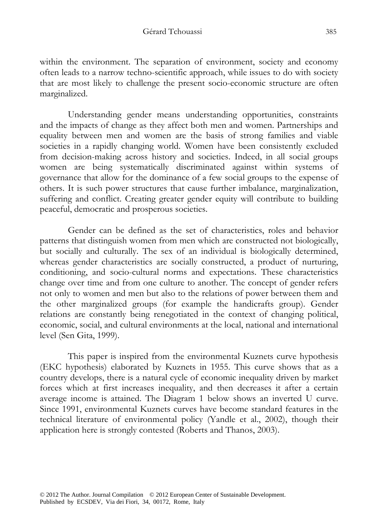within the environment. The separation of environment, society and economy often leads to a narrow techno-scientific approach, while issues to do with society that are most likely to challenge the present socio-economic structure are often marginalized.

Understanding gender means understanding opportunities, constraints and the impacts of change as they affect both men and women. Partnerships and equality between men and women are the basis of strong families and viable societies in a rapidly changing world. Women have been consistently excluded from decision-making across history and societies. Indeed, in all social groups women are being systematically discriminated against within systems of governance that allow for the dominance of a few social groups to the expense of others. It is such power structures that cause further imbalance, marginalization, suffering and conflict. Creating greater gender equity will contribute to building peaceful, democratic and prosperous societies.

Gender can be defined as the set of characteristics, roles and behavior patterns that distinguish women from men which are constructed not biologically, but socially and culturally. The sex of an individual is biologically determined, whereas gender characteristics are socially constructed, a product of nurturing, conditioning, and socio-cultural norms and expectations. These characteristics change over time and from one culture to another. The concept of gender refers not only to women and men but also to the relations of power between them and the other marginalized groups (for example the handicrafts group). Gender relations are constantly being renegotiated in the context of changing political, economic, social, and cultural environments at the local, national and international level (Sen Gita, 1999).

This paper is inspired from the environmental Kuznets curve hypothesis (EKC hypothesis) elaborated by Kuznets in 1955. This curve shows that as a country develops, there is a natural cycle of economic inequality driven by market forces which at first increases inequality, and then decreases it after a certain average income is attained. The Diagram 1 below shows an inverted U curve. Since 1991, environmental Kuznets curves have become standard features in the technical literature of environmental policy (Yandle et al., 2002), though their application here is strongly contested (Roberts and Thanos, 2003).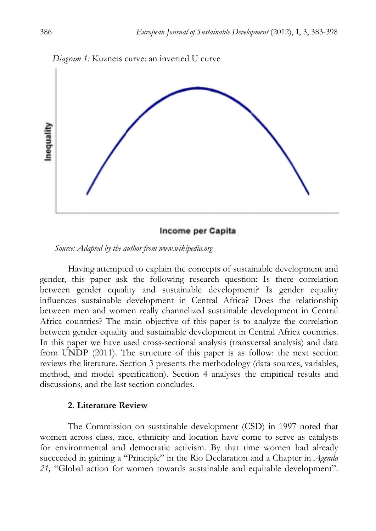

**Income per Capita** 

Source: Adapted by the author from www.wikipedia.org

gender, this paper ask the following research question: Is there correlation between gender equality and sustainable development? Is gender equality influences sustainable development in Central Africa? Does the relationship between men and women really channelized sustainable development in Centra Africa countries? The main objective of this paper is to analyze the correlation<br>between gender equality and sustainable development in Central Africa countries. between gender equality and sustainable development in Central Africa countries In this paper we have used cross-sectional analysis (transversal analysis) and data from UNDP (2011). The structure of this paper is as follow: the next section reviews the literature. Section 3 presents the methodology (data sources, variables method, and model specification). Section 4 analyses the empirical results and discussions, and the last section concludes. Having attempted to explain the concepts of sustainable development and ta<br>n<br>:s, nd<br>at

### 2. Literature Review

women across class, race, ethnicity and location have come to serve as catalysts for environmental and democratic activism. By that time women had already succeeded in gaining a "Principle" in the Rio Declaration and a Chapter in *Agenda* 21, "Global action for women towards sustainable and equitable development". The Commission on sustainable development (CSD) in 1997 noted tha s<br>y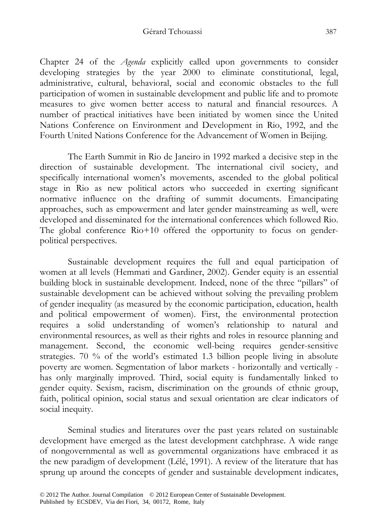#### Gérard Tchouassi 387

Chapter 24 of the *Agenda* explicitly called upon governments to consider developing strategies by the year 2000 to eliminate constitutional, legal, administrative, cultural, behavioral, social and economic obstacles to the full participation of women in sustainable development and public life and to promote measures to give women better access to natural and financial resources. A number of practical initiatives have been initiated by women since the United Nations Conference on Environment and Development in Rio, 1992, and the Fourth United Nations Conference for the Advancement of Women in Beijing.

The Earth Summit in Rio de Janeiro in 1992 marked a decisive step in the direction of sustainable development. The international civil society, and specifically international women's movements, ascended to the global political stage in Rio as new political actors who succeeded in exerting significant normative influence on the drafting of summit documents. Emancipating approaches, such as empowerment and later gender mainstreaming as well, were developed and disseminated for the international conferences which followed Rio. The global conference Rio+10 offered the opportunity to focus on genderpolitical perspectives.

Sustainable development requires the full and equal participation of women at all levels (Hemmati and Gardiner, 2002). Gender equity is an essential building block in sustainable development. Indeed, none of the three "pillars" of sustainable development can be achieved without solving the prevailing problem of gender inequality (as measured by the economic participation, education, health and political empowerment of women). First, the environmental protection requires a solid understanding of women's relationship to natural and environmental resources, as well as their rights and roles in resource planning and management. Second, the economic well-being requires gender-sensitive strategies. 70 % of the world's estimated 1.3 billion people living in absolute poverty are women. Segmentation of labor markets - horizontally and vertically has only marginally improved. Third, social equity is fundamentally linked to gender equity. Sexism, racism, discrimination on the grounds of ethnic group, faith, political opinion, social status and sexual orientation are clear indicators of social inequity.

Seminal studies and literatures over the past years related on sustainable development have emerged as the latest development catchphrase. A wide range of nongovernmental as well as governmental organizations have embraced it as the new paradigm of development (Lélé, 1991). A review of the literature that has sprung up around the concepts of gender and sustainable development indicates,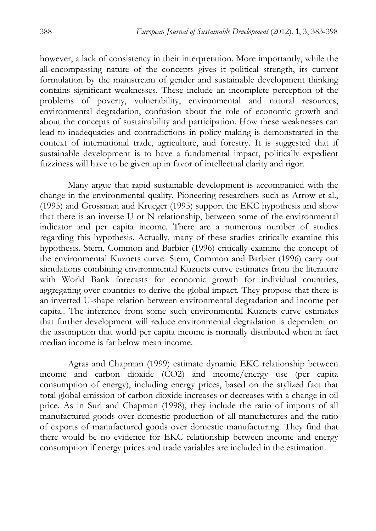however, a lack of consistency in their interpretation. More importantly, while the all-encompassing nature of the concepts gives it political strength, its current formulation by the mainstream of gender and sustainable development thinking contains significant weaknesses. These include an incomplete perception of the problems of poverty, vulnerability, environmental and natural resources, environmental degradation, confusion about the role of economic growth and about the concepts of sustainability and participation. How these weaknesses can lead to inadequacies and contradictions in policy making is demonstrated in the context of international trade, agriculture, and forestry. It is suggested that if sustainable development is to have a fundamental impact, politically expedient fuzziness will have to be given up in favor of intellectual clarity and rigor.

Many argue that rapid sustainable development is accompanied with the change in the environmental quality. Pioneering researchers such as Arrow et al., (1995) and Grossman and Krueger (1995) support the EKC hypothesis and show that there is an inverse U or N relationship, between some of the environmental indicator and per capita income. There are a numerous number of studies regarding this hypothesis. Actually, many of these studies critically examine this hypothesis. Stern, Common and Barbier (1996) critically examine the concept of the environmental Kuznets curve. Stern, Common and Barbier (1996) carry out simulations combining environmental Kuznets curve estimates from the literature with World Bank forecasts for economic growth for individual countries, aggregating over countries to derive the global impact. They propose that there is an inverted U-shape relation between environmental degradation and income per capita.. The inference from some such environmental Kuznets curve estimates that further development will reduce environmental degradation is dependent on the assumption that world per capita income is normally distributed when in fact median income is far below mean income.

Agras and Chapman (1999) estimate dynamic EKC relationship between income and carbon dioxide (CO2) and income/energy use (per capita consumption of energy), including energy prices, based on the stylized fact that total global emission of carbon dioxide increases or decreases with a change in oil price. As in Suri and Chapman (1998), they include the ratio of imports of all manufactured goods over domestic production of all manufactures and the ratio of exports of manufactured goods over domestic manufacturing. They find that there would be no evidence for EKC relationship between income and energy consumption if energy prices and trade variables are included in the estimation.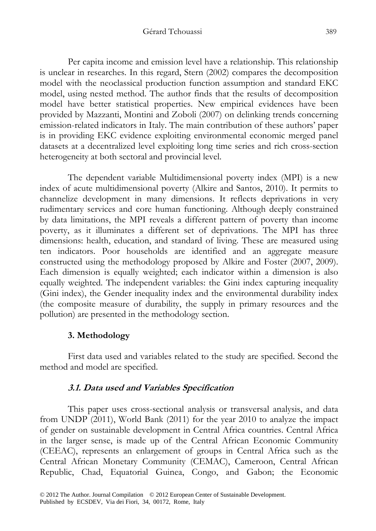Per capita income and emission level have a relationship. This relationship is unclear in researches. In this regard, Stern (2002) compares the decomposition model with the neoclassical production function assumption and standard EKC model, using nested method. The author finds that the results of decomposition model have better statistical properties. New empirical evidences have been provided by Mazzanti, Montini and Zoboli (2007) on delinking trends concerning emission-related indicators in Italy. The main contribution of these authors' paper is in providing EKC evidence exploiting environmental economic merged panel datasets at a decentralized level exploiting long time series and rich cross-section heterogeneity at both sectoral and provincial level.

The dependent variable Multidimensional poverty index (MPI) is a new index of acute multidimensional poverty (Alkire and Santos, 2010). It permits to channelize development in many dimensions. It reflects deprivations in very rudimentary services and core human functioning. Although deeply constrained by data limitations, the MPI reveals a different pattern of poverty than income poverty, as it illuminates a different set of deprivations. The MPI has three dimensions: health, education, and standard of living. These are measured using ten indicators. Poor households are identified and an aggregate measure constructed using the methodology proposed by Alkire and Foster (2007, 2009). Each dimension is equally weighted; each indicator within a dimension is also equally weighted. The independent variables: the Gini index capturing inequality (Gini index), the Gender inequality index and the environmental durability index (the composite measure of durability, the supply in primary resources and the pollution) are presented in the methodology section.

### **3. Methodology**

First data used and variables related to the study are specified. Second the method and model are specified.

### **3.1. Data used and Variables Specification**

This paper uses cross-sectional analysis or transversal analysis, and data from UNDP (2011), World Bank (2011) for the year 2010 to analyze the impact of gender on sustainable development in Central Africa countries. Central Africa in the larger sense, is made up of the Central African Economic Community (CEEAC), represents an enlargement of groups in Central Africa such as the Central African Monetary Community (CEMAC), Cameroon, Central African Republic, Chad, Equatorial Guinea, Congo, and Gabon; the Economic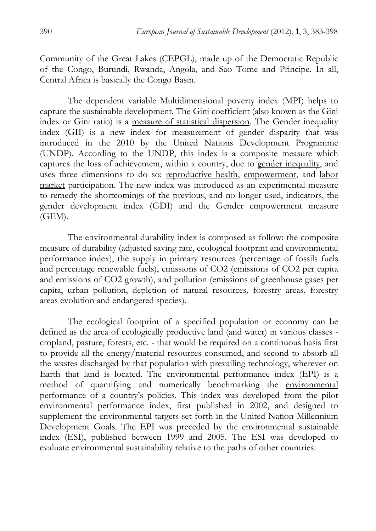Community of the Great Lakes (CEPGL), made up of the Democratic Republic of the Congo, Burundi, Rwanda, Angola, and Sao Tome and Principe. In all, Central Africa is basically the Congo Basin.

The dependent variable Multidimensional poverty index (MPI) helps to capture the sustainable development. The Gini coefficient (also known as the Gini index or Gini ratio) is a measure of statistical dispersion. The Gender inequality index (GII) is a new index for measurement of gender disparity that was introduced in the 2010 by the United Nations Development Programme (UNDP). According to the UNDP, this index is a composite measure which captures the loss of achievement, within a country, due to gender inequality, and uses three dimensions to do so: reproductive health, empowerment, and labor market participation. The new index was introduced as an experimental measure to remedy the shortcomings of the previous, and no longer used, indicators, the gender development index (GDI) and the Gender empowerment measure (GEM).

The environmental durability index is composed as follow: the composite measure of durability (adjusted saving rate, ecological footprint and environmental performance index), the supply in primary resources (percentage of fossils fuels and percentage renewable fuels), emissions of CO2 (emissions of CO2 per capita and emissions of CO2 growth), and pollution (emissions of greenhouse gases per capita, urban pollution, depletion of natural resources, forestry areas, forestry areas evolution and endangered species).

The ecological footprint of a specified population or economy can be defined as the area of ecologically productive land (and water) in various classes cropland, pasture, forests, etc. - that would be required on a continuous basis first to provide all the energy/material resources consumed, and second to absorb all the wastes discharged by that population with prevailing technology, wherever on Earth that land is located. The environmental performance index (EPI) is a method of quantifying and numerically benchmarking the environmental performance of a country's policies. This index was developed from the pilot environmental performance index, first published in 2002, and designed to supplement the environmental targets set forth in the United Nation Millennium Development Goals. The EPI was preceded by the environmental sustainable index (ESI), published between 1999 and 2005. The ESI was developed to evaluate environmental sustainability relative to the paths of other countries.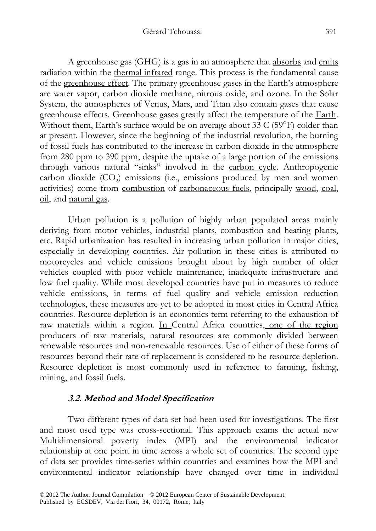#### Gérard Tchouassi 391

A greenhouse gas (GHG) is a gas in an atmosphere that absorbs and emits radiation within the thermal infrared range. This process is the fundamental cause of the greenhouse effect. The primary greenhouse gases in the Earth's atmosphere are water vapor, carbon dioxide methane, nitrous oxide, and ozone. In the Solar System, the atmospheres of Venus, Mars, and Titan also contain gases that cause greenhouse effects. Greenhouse gases greatly affect the temperature of the Earth. Without them, Earth's surface would be on average about 33 C (59°F) colder than at present. However, since the beginning of the industrial revolution, the burning of fossil fuels has contributed to the increase in carbon dioxide in the atmosphere from 280 ppm to 390 ppm, despite the uptake of a large portion of the emissions through various natural "sinks" involved in the carbon cycle. Anthropogenic carbon dioxide  $(CO<sub>2</sub>)$  emissions (i.e., emissions produced by men and women activities) come from combustion of carbonaceous fuels, principally wood, coal, oil, and natural gas.

Urban pollution is a pollution of highly urban populated areas mainly deriving from motor vehicles, industrial plants, combustion and heating plants, etc. Rapid urbanization has resulted in increasing urban pollution in major cities, especially in developing countries. Air pollution in these cities is attributed to motorcycles and vehicle emissions brought about by high number of older vehicles coupled with poor vehicle maintenance, inadequate infrastructure and low fuel quality. While most developed countries have put in measures to reduce vehicle emissions, in terms of fuel quality and vehicle emission reduction technologies, these measures are yet to be adopted in most cities in Central Africa countries. Resource depletion is an economics term referring to the exhaustion of raw materials within a region. In Central Africa countries, one of the region producers of raw materials, natural resources are commonly divided between renewable resources and non-renewable resources. Use of either of these forms of resources beyond their rate of replacement is considered to be resource depletion. Resource depletion is most commonly used in reference to farming, fishing, mining, and fossil fuels.

# **3.2. Method and Model Specification**

Two different types of data set had been used for investigations. The first and most used type was cross-sectional. This approach exams the actual new Multidimensional poverty index (MPI) and the environmental indicator relationship at one point in time across a whole set of countries. The second type of data set provides time-series within countries and examines how the MPI and environmental indicator relationship have changed over time in individual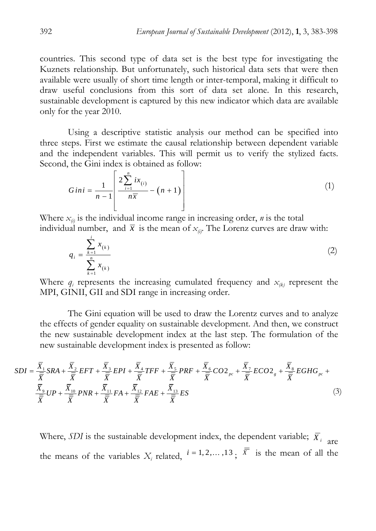countries. This second type of data set is the best type for investigating the Kuznets relationship. But unfortunately, such historical data sets that were then available were usually of short time length or inter-temporal, making it difficult to draw useful conclusions from this sort of data set alone. In this research, sustainable development is captured by this new indicator which data are available only for the year 2010.

Using a descriptive statistic analysis our method can be specified into three steps. First we estimate the causal relationship between dependent variable and the independent variables. This will permit us to verify the stylized facts. Second, the Gini index is obtained as follow:

$$
Gini = \frac{1}{n-1} \left[ \frac{2 \sum_{i=1}^{n} ix_{(i)}}{n \overline{x}} - (n+1) \right]
$$
 (1)

Where  $x_{(i)}$  is the individual income range in increasing order, *n* is the total individual number, and  $\bar{x}$  is the mean of  $x_{\alpha}$ . The Lorenz curves are draw with:

$$
q_{i} = \frac{\sum_{k=1}^{i} x_{(k)}}{\sum_{k=1}^{n} x_{(k)}}
$$
 (2)

Where  $q_i$  represents the increasing cumulated frequency and  $x_{(k)}$  represent the MPI, GINII, GII and SDI range in increasing order.

The Gini equation will be used to draw the Lorentz curves and to analyze the effects of gender equality on sustainable development. And then, we construct the new sustainable development index at the last step. The formulation of the new sustainable development index is presented as follow:

$$
SDI = \frac{\overline{X}_{1}}{\overline{\overline{X}}}_{SRA} + \frac{\overline{X}_{2}}{\overline{\overline{X}}}_{EFT} + \frac{\overline{X}_{3}}{\overline{\overline{X}}}_{EPI} + \frac{\overline{X}_{4}}{\overline{\overline{X}}}_{TFF} + \frac{\overline{X}_{5}}{\overline{\overline{X}}}_{FRF} + \frac{\overline{X}_{6}}{\overline{\overline{X}}}_{CO2_{pc}} + \frac{\overline{X}_{7}}{\overline{\overline{X}}}_{ECO2_{g}} + \frac{\overline{X}_{8}}{\overline{\overline{X}}}_{EGHG_{pc}} + \frac{\overline{X}_{9}}{\overline{\overline{X}}}_{GHP} + \frac{\overline{X}_{10}}{\overline{\overline{X}}}_{GHP} + \frac{\overline{X}_{11}}{\overline{\overline{X}}}_{GHP} + \frac{\overline{X}_{12}}{\overline{\overline{X}}}_{FFA} + \frac{\overline{X}_{12}}{\overline{\overline{X}}}_{FFA} + \frac{\overline{X}_{13}}{\overline{\overline{X}}}_{ES} = \frac{ES}{\overline{X}} \tag{3}
$$

Where, *SDI* is the sustainable development index, the dependent variable;  $\overline{X}_i$  are the means of the variables  $X_i$  related,  $i = 1, 2, ..., 13$ ,  $\overline{X}$  is the mean of all the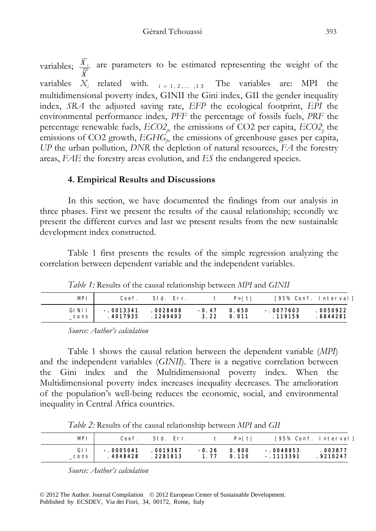variables;  $\frac{X_i}{\equiv}$ *X* are parameters to be estimated representing the weight of the variables  $X_i$  related with.  $i = 1, 2, ..., 13$  The variables are: MPI the multidimensional poverty index, GINII the Gini index, GII the gender inequality index, *SRA* the adjusted saving rate, *EFP* the ecological footprint, *EPI* the environmental performance index, *PFF* the percentage of fossils fuels, *PRF* the percentage renewable fuels,  $ECO2_{pe}$  the emissions of CO2 per capita,  $ECO2_{g}$  the emissions of CO2 growth,  $EGHG_{bc}$  the emissions of greenhouse gases per capita, *UP* the urban pollution, *DNR* the depletion of natural resources, *FA* the forestry areas, *FAE* the forestry areas evolution, and *ES* the endangered species.

# **4. Empirical Results and Discussions**

In this section, we have documented the findings from our analysis in three phases. First we present the results of the causal relationship; secondly we present the different curves and last we present results from the new sustainable development index constructed.

Table 1 first presents the results of the simple regression analyzing the correlation between dependent variable and the independent variables.

*Table 1:* Results of the causal relationship between *MPI* and *GINII*

| <b>MPI</b>   | Coef.       | Std. Err. |         | $P>1$ tl |             | [95% Conf. Interval] |
|--------------|-------------|-----------|---------|----------|-------------|----------------------|
| <b>GINII</b> | $-.0013341$ | .0028408  | $-0.47$ | 0.650    | $-.0077603$ | 0050922              |
| cons         | . 4017935   | . 1249403 | 3.22    | 0.011    | . 119159    | . 6844281            |

*Source: Author's calculation* 

Table 1 shows the causal relation between the dependent variable (*MPI*) and the independent variables (*GINII*). There is a negative correlation between the Gini index and the Multidimensional poverty index. When the Multidimensional poverty index increases inequality decreases. The amelioration of the population's well-being reduces the economic, social, and environmental inequality in Central Africa countries.

*Table 2:* Results of the causal relationship between *MPI* and *GII*

| MPI  | Coef.       | Std. Err. |         | $P>1$ tl | [95% Conf. Interval] |           |
|------|-------------|-----------|---------|----------|----------------------|-----------|
| GII  | $-.0005041$ | .0019367  | $-0.26$ | 0.800    | $-.0048853$          | . 003877  |
| cons | .4048428    | . 2281813 | 1.77    | 0.110    | $-1113391$           | . 9210247 |

*Source: Author's calculation*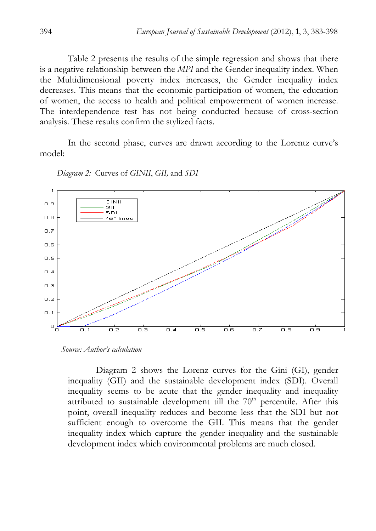Table 2 presents the results of the simple regression and shows that there is a negative relationship between the *MPI* and the Gender inequality index. When the Multidimensional poverty index increases, the Gender inequality index decreases. This means that the economic participation of women, the education of women, the access to health and political empowerment of women increase. The interdependence test has not being conducted because of cross-section analysis. These results confirm the stylized facts.

In the second phase, curves are drawn according to the Lorentz curve's model:



*Diagram 2:* Curves of *GINII*, *GII,* and *SDI*

Diagram 2 shows the Lorenz curves for the Gini (GI), gender inequality (GII) and the sustainable development index (SDI). Overall inequality seems to be acute that the gender inequality and inequality attributed to sustainable development till the  $70<sup>th</sup>$  percentile. After this point, overall inequality reduces and become less that the SDI but not sufficient enough to overcome the GII. This means that the gender inequality index which capture the gender inequality and the sustainable development index which environmental problems are much closed.

*Source: Author's calculation*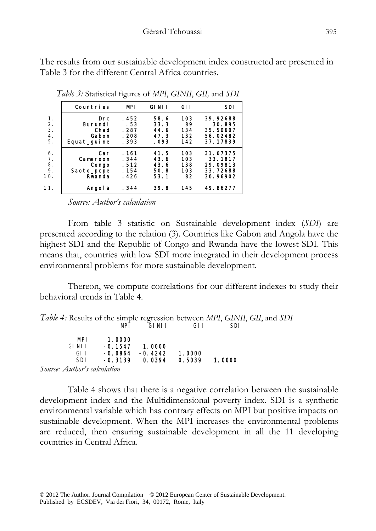The results from our sustainable development index constructed are presented in Table 3 for the different Central Africa countries.

|                                         |                                                  | . J                                       |                                       |                                |                                                         |
|-----------------------------------------|--------------------------------------------------|-------------------------------------------|---------------------------------------|--------------------------------|---------------------------------------------------------|
|                                         | Countries                                        | <b>MPI</b>                                | <b>GINII</b>                          | GI I                           | <b>SDI</b>                                              |
| 1.<br>2.<br>3.<br>4.<br>5.              | Drc<br>Burundi<br>Chad<br>Gabon<br>Equat_guine   | . 452<br>. 53<br>. 287<br>. 208<br>. 393  | 58.6<br>33.3<br>44.6<br>47.3<br>. 093 | 103<br>89<br>134<br>132<br>142 | 39.92688<br>30.895<br>35.50607<br>56.02482<br>37.17839  |
| 6.<br>7 <sub>1</sub><br>8.<br>9.<br>10. | Car<br>Cameroon<br>Congo<br>Saoto_pcpe<br>Rwanda | . 161<br>. 344<br>. 512<br>. 154<br>. 426 | 41.5<br>43.6<br>43.6<br>50.8<br>53.1  | 103<br>103<br>138<br>103<br>82 | 31.67375<br>33.1817<br>29.09813<br>33.72688<br>30.96902 |
| 11.                                     | Angol a                                          | . 344                                     | 39.8                                  | 145                            | 49.86277                                                |

*Table 3:* Statistical figures of *MPI*, *GINII*, *GII,* and *SDI*

*Source: Author's calculation* 

From table 3 statistic on Sustainable development index (*SDI*) are presented according to the relation (3). Countries like Gabon and Angola have the highest SDI and the Republic of Congo and Rwanda have the lowest SDI. This means that, countries with low SDI more integrated in their development process environmental problems for more sustainable development.

Thereon, we compute correlations for our different indexes to study their behavioral trends in Table 4.

| Table 4: Results of the simple regression between MPI, GINII, GII, and SDI |  |  |  |
|----------------------------------------------------------------------------|--|--|--|
|                                                                            |  |  |  |

|               |                                      | MP1                                           | GINII                         | GI I             | SDI    |
|---------------|--------------------------------------|-----------------------------------------------|-------------------------------|------------------|--------|
|               | MPI<br>GI NI I<br>GI I<br><b>SDI</b> | 1.0000<br>$-0.1547$<br>$-0.0864$<br>$-0.3139$ | 1.0000<br>$-0.4242$<br>0.0394 | 1.0000<br>0.5039 | 1.0000 |
| $\mathcal{C}$ | $\lambda$ , $\lambda$ , $\lambda$    |                                               |                               |                  |        |

*Source: Author's calculation* 

Table 4 shows that there is a negative correlation between the sustainable development index and the Multidimensional poverty index. SDI is a synthetic environmental variable which has contrary effects on MPI but positive impacts on sustainable development. When the MPI increases the environmental problems are reduced, then ensuring sustainable development in all the 11 developing countries in Central Africa.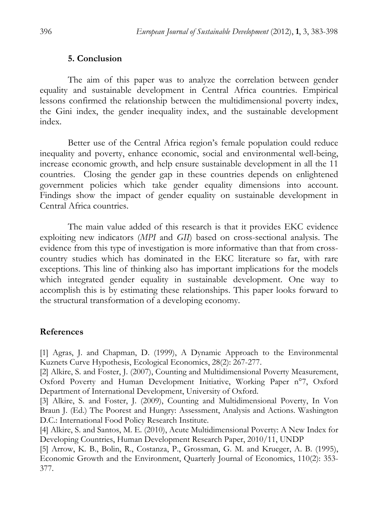### **5. Conclusion**

The aim of this paper was to analyze the correlation between gender equality and sustainable development in Central Africa countries. Empirical lessons confirmed the relationship between the multidimensional poverty index, the Gini index, the gender inequality index, and the sustainable development index.

Better use of the Central Africa region's female population could reduce inequality and poverty, enhance economic, social and environmental well-being, increase economic growth, and help ensure sustainable development in all the 11 countries. Closing the gender gap in these countries depends on enlightened government policies which take gender equality dimensions into account. Findings show the impact of gender equality on sustainable development in Central Africa countries.

The main value added of this research is that it provides EKC evidence exploiting new indicators (*MPI* and *GII*) based on cross-sectional analysis. The evidence from this type of investigation is more informative than that from crosscountry studies which has dominated in the EKC literature so far, with rare exceptions. This line of thinking also has important implications for the models which integrated gender equality in sustainable development. One way to accomplish this is by estimating these relationships. This paper looks forward to the structural transformation of a developing economy.

### **References**

[1] Agras, J. and Chapman, D. (1999), A Dynamic Approach to the Environmental Kuznets Curve Hypothesis, Ecological Economics, 28(2): 267-277.

[2] Alkire, S. and Foster, J. (2007), Counting and Multidimensional Poverty Measurement, Oxford Poverty and Human Development Initiative, Working Paper n°7, Oxford Department of International Development, University of Oxford.

[3] Alkire, S. and Foster, J. (2009), Counting and Multidimensional Poverty, In Von Braun J. (Ed.) The Poorest and Hungry: Assessment, Analysis and Actions. Washington D.C.: International Food Policy Research Institute.

[4] Alkire, S. and Santos, M. E. (2010), Acute Multidimensional Poverty: A New Index for Developing Countries, Human Development Research Paper, 2010/11, UNDP

[5] Arrow, K. B., Bolin, R., Costanza, P., Grossman, G. M. and Krueger, A. B. (1995), Economic Growth and the Environment, Quarterly Journal of Economics, 110(2): 353- 377.